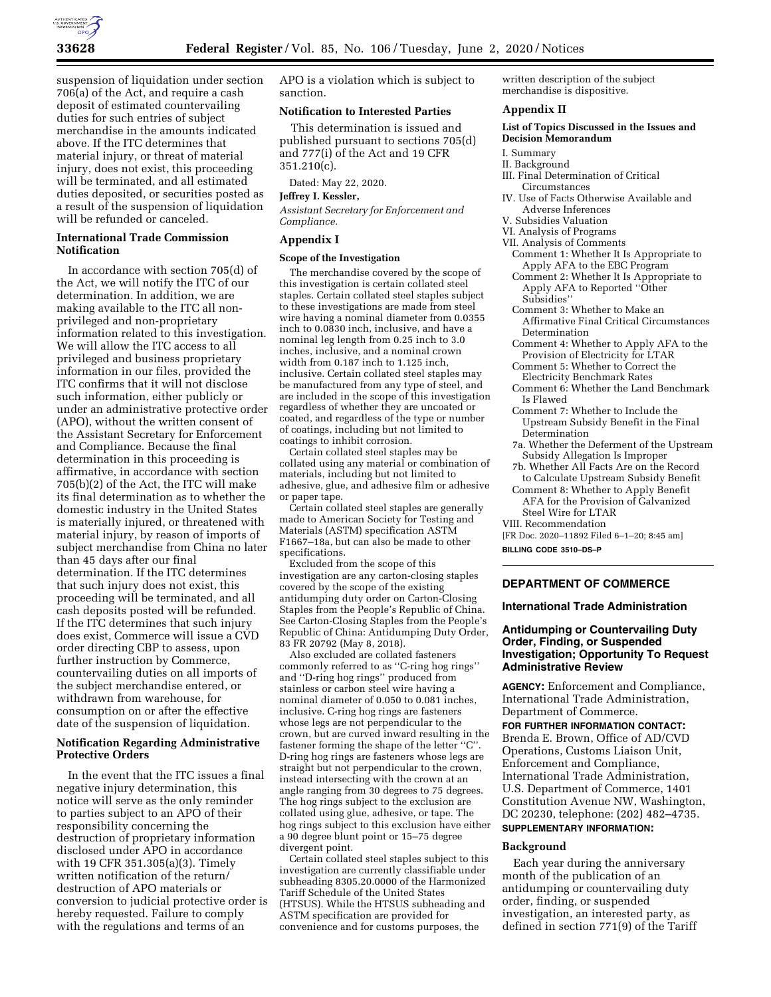

suspension of liquidation under section 706(a) of the Act, and require a cash deposit of estimated countervailing duties for such entries of subject merchandise in the amounts indicated above. If the ITC determines that material injury, or threat of material injury, does not exist, this proceeding will be terminated, and all estimated duties deposited, or securities posted as a result of the suspension of liquidation will be refunded or canceled.

# **International Trade Commission Notification**

In accordance with section 705(d) of the Act, we will notify the ITC of our determination. In addition, we are making available to the ITC all nonprivileged and non-proprietary information related to this investigation. We will allow the ITC access to all privileged and business proprietary information in our files, provided the ITC confirms that it will not disclose such information, either publicly or under an administrative protective order (APO), without the written consent of the Assistant Secretary for Enforcement and Compliance. Because the final determination in this proceeding is affirmative, in accordance with section 705(b)(2) of the Act, the ITC will make its final determination as to whether the domestic industry in the United States is materially injured, or threatened with material injury, by reason of imports of subject merchandise from China no later than 45 days after our final determination. If the ITC determines that such injury does not exist, this proceeding will be terminated, and all cash deposits posted will be refunded. If the ITC determines that such injury does exist, Commerce will issue a CVD order directing CBP to assess, upon further instruction by Commerce, countervailing duties on all imports of the subject merchandise entered, or withdrawn from warehouse, for consumption on or after the effective date of the suspension of liquidation.

### **Notification Regarding Administrative Protective Orders**

In the event that the ITC issues a final negative injury determination, this notice will serve as the only reminder to parties subject to an APO of their responsibility concerning the destruction of proprietary information disclosed under APO in accordance with 19 CFR 351.305(a)(3). Timely written notification of the return/ destruction of APO materials or conversion to judicial protective order is hereby requested. Failure to comply with the regulations and terms of an

APO is a violation which is subject to sanction.

### **Notification to Interested Parties**

This determination is issued and published pursuant to sections 705(d) and 777(i) of the Act and 19 CFR 351.210(c).

Dated: May 22, 2020.

# **Jeffrey I. Kessler,**

*Assistant Secretary for Enforcement and Compliance.* 

# **Appendix I**

#### **Scope of the Investigation**

The merchandise covered by the scope of this investigation is certain collated steel staples. Certain collated steel staples subject to these investigations are made from steel wire having a nominal diameter from 0.0355 inch to 0.0830 inch, inclusive, and have a nominal leg length from 0.25 inch to 3.0 inches, inclusive, and a nominal crown width from 0.187 inch to 1.125 inch, inclusive. Certain collated steel staples may be manufactured from any type of steel, and are included in the scope of this investigation regardless of whether they are uncoated or coated, and regardless of the type or number of coatings, including but not limited to coatings to inhibit corrosion.

Certain collated steel staples may be collated using any material or combination of materials, including but not limited to adhesive, glue, and adhesive film or adhesive or paper tape.

Certain collated steel staples are generally made to American Society for Testing and Materials (ASTM) specification ASTM F1667–18a, but can also be made to other specifications.

Excluded from the scope of this investigation are any carton-closing staples covered by the scope of the existing antidumping duty order on Carton-Closing Staples from the People's Republic of China. See Carton-Closing Staples from the People's Republic of China: Antidumping Duty Order, 83 FR 20792 (May 8, 2018).

Also excluded are collated fasteners commonly referred to as ''C-ring hog rings'' and ''D-ring hog rings'' produced from stainless or carbon steel wire having a nominal diameter of 0.050 to 0.081 inches, inclusive. C-ring hog rings are fasteners whose legs are not perpendicular to the crown, but are curved inward resulting in the fastener forming the shape of the letter ''C''. D-ring hog rings are fasteners whose legs are straight but not perpendicular to the crown, instead intersecting with the crown at an angle ranging from 30 degrees to 75 degrees. The hog rings subject to the exclusion are collated using glue, adhesive, or tape. The hog rings subject to this exclusion have either a 90 degree blunt point or 15–75 degree divergent point.

Certain collated steel staples subject to this investigation are currently classifiable under subheading 8305.20.0000 of the Harmonized Tariff Schedule of the United States (HTSUS). While the HTSUS subheading and ASTM specification are provided for convenience and for customs purposes, the

written description of the subject merchandise is dispositive.

# **Appendix II**

#### **List of Topics Discussed in the Issues and Decision Memorandum**

- I. Summary
- II. Background
- III. Final Determination of Critical
- Circumstances IV. Use of Facts Otherwise Available and
- Adverse Inferences
- V. Subsidies Valuation
- VI. Analysis of Programs
- VII. Analysis of Comments
	- Comment 1: Whether It Is Appropriate to Apply AFA to the EBC Program
	- Comment 2: Whether It Is Appropriate to Apply AFA to Reported ''Other Subsidies''
	- Comment 3: Whether to Make an Affirmative Final Critical Circumstances Determination
	- Comment 4: Whether to Apply AFA to the Provision of Electricity for LTAR
	- Comment 5: Whether to Correct the
	- Electricity Benchmark Rates Comment 6: Whether the Land Benchmark Is Flawed
	- Comment 7: Whether to Include the Upstream Subsidy Benefit in the Final Determination
	- 7a. Whether the Deferment of the Upstream Subsidy Allegation Is Improper
	- 7b. Whether All Facts Are on the Record to Calculate Upstream Subsidy Benefit
- Comment 8: Whether to Apply Benefit AFA for the Provision of Galvanized Steel Wire for LTAR VIII. Recommendation
- [FR Doc. 2020–11892 Filed 6–1–20; 8:45 am]

**BILLING CODE 3510–DS–P** 

#### **DEPARTMENT OF COMMERCE**

#### **International Trade Administration**

# **Antidumping or Countervailing Duty Order, Finding, or Suspended Investigation; Opportunity To Request Administrative Review**

**AGENCY:** Enforcement and Compliance, International Trade Administration, Department of Commerce.

**FOR FURTHER INFORMATION CONTACT:**  Brenda E. Brown, Office of AD/CVD Operations, Customs Liaison Unit, Enforcement and Compliance, International Trade Administration, U.S. Department of Commerce, 1401 Constitution Avenue NW, Washington, DC 20230, telephone: (202) 482–4735.

# **SUPPLEMENTARY INFORMATION:**

#### **Background**

Each year during the anniversary month of the publication of an antidumping or countervailing duty order, finding, or suspended investigation, an interested party, as defined in section 771(9) of the Tariff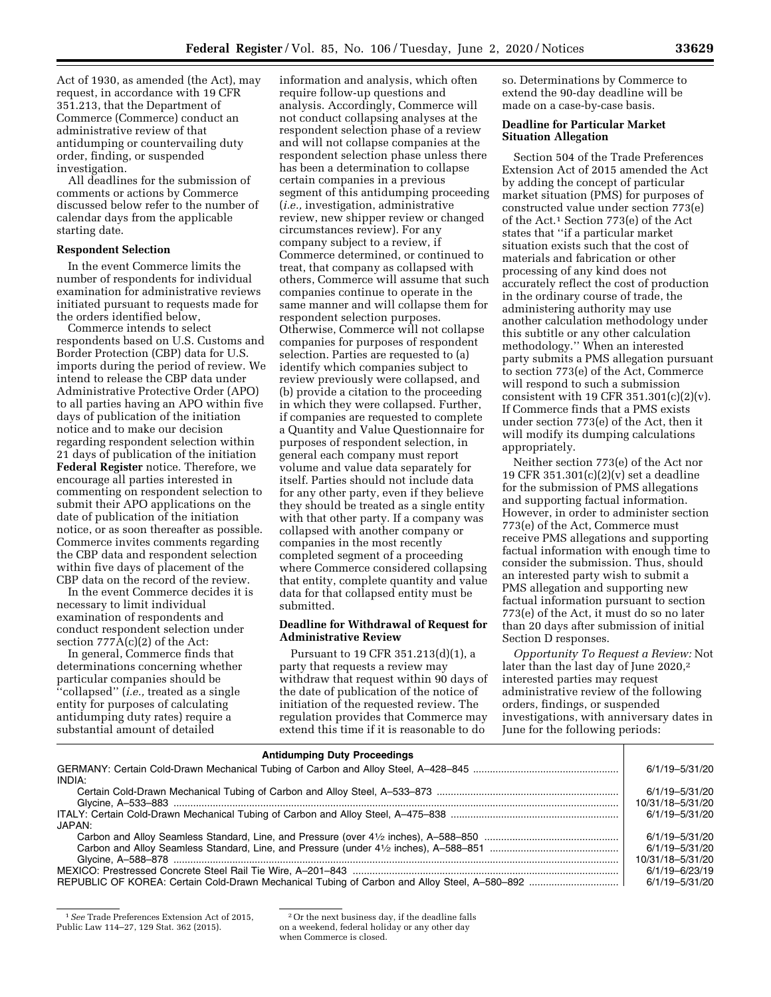Act of 1930, as amended (the Act), may request, in accordance with 19 CFR 351.213, that the Department of Commerce (Commerce) conduct an administrative review of that antidumping or countervailing duty order, finding, or suspended investigation.

All deadlines for the submission of comments or actions by Commerce discussed below refer to the number of calendar days from the applicable starting date.

### **Respondent Selection**

In the event Commerce limits the number of respondents for individual examination for administrative reviews initiated pursuant to requests made for the orders identified below,

Commerce intends to select respondents based on U.S. Customs and Border Protection (CBP) data for U.S. imports during the period of review. We intend to release the CBP data under Administrative Protective Order (APO) to all parties having an APO within five days of publication of the initiation notice and to make our decision regarding respondent selection within 21 days of publication of the initiation **Federal Register** notice. Therefore, we encourage all parties interested in commenting on respondent selection to submit their APO applications on the date of publication of the initiation notice, or as soon thereafter as possible. Commerce invites comments regarding the CBP data and respondent selection within five days of placement of the CBP data on the record of the review.

In the event Commerce decides it is necessary to limit individual examination of respondents and conduct respondent selection under section  $777A(c)(2)$  of the Act:

In general, Commerce finds that determinations concerning whether particular companies should be ''collapsed'' (*i.e.,* treated as a single entity for purposes of calculating antidumping duty rates) require a substantial amount of detailed

information and analysis, which often require follow-up questions and analysis. Accordingly, Commerce will not conduct collapsing analyses at the respondent selection phase of a review and will not collapse companies at the respondent selection phase unless there has been a determination to collapse certain companies in a previous segment of this antidumping proceeding (*i.e.,* investigation, administrative review, new shipper review or changed circumstances review). For any company subject to a review, if Commerce determined, or continued to treat, that company as collapsed with others, Commerce will assume that such companies continue to operate in the same manner and will collapse them for respondent selection purposes. Otherwise, Commerce will not collapse companies for purposes of respondent selection. Parties are requested to (a) identify which companies subject to review previously were collapsed, and (b) provide a citation to the proceeding in which they were collapsed. Further, if companies are requested to complete a Quantity and Value Questionnaire for purposes of respondent selection, in general each company must report volume and value data separately for itself. Parties should not include data for any other party, even if they believe they should be treated as a single entity with that other party. If a company was collapsed with another company or companies in the most recently completed segment of a proceeding where Commerce considered collapsing that entity, complete quantity and value data for that collapsed entity must be submitted.

#### **Deadline for Withdrawal of Request for Administrative Review**

Pursuant to 19 CFR 351.213(d)(1), a party that requests a review may withdraw that request within 90 days of the date of publication of the notice of initiation of the requested review. The regulation provides that Commerce may extend this time if it is reasonable to do

so. Determinations by Commerce to extend the 90-day deadline will be made on a case-by-case basis.

#### **Deadline for Particular Market Situation Allegation**

Section 504 of the Trade Preferences Extension Act of 2015 amended the Act by adding the concept of particular market situation (PMS) for purposes of constructed value under section 773(e) of the Act.1 Section 773(e) of the Act states that ''if a particular market situation exists such that the cost of materials and fabrication or other processing of any kind does not accurately reflect the cost of production in the ordinary course of trade, the administering authority may use another calculation methodology under this subtitle or any other calculation methodology.'' When an interested party submits a PMS allegation pursuant to section 773(e) of the Act, Commerce will respond to such a submission consistent with 19 CFR  $351.301(c)(2)(v)$ . If Commerce finds that a PMS exists under section 773(e) of the Act, then it will modify its dumping calculations appropriately.

Neither section 773(e) of the Act nor 19 CFR 351.301(c)(2)(v) set a deadline for the submission of PMS allegations and supporting factual information. However, in order to administer section 773(e) of the Act, Commerce must receive PMS allegations and supporting factual information with enough time to consider the submission. Thus, should an interested party wish to submit a PMS allegation and supporting new factual information pursuant to section 773(e) of the Act, it must do so no later than 20 days after submission of initial Section D responses.

*Opportunity To Request a Review:* Not later than the last day of June 2020,<sup>2</sup> interested parties may request administrative review of the following orders, findings, or suspended investigations, with anniversary dates in June for the following periods:

| <b>Antidumping Duty Proceedings</b> |                    |
|-------------------------------------|--------------------|
|                                     | 6/1/19-5/31/20     |
| INDIA:                              |                    |
|                                     | 6/1/19-5/31/20     |
|                                     | 10/31/18-5/31/20   |
|                                     | 6/1/19-5/31/20     |
| JAPAN:                              |                    |
|                                     | 6/1/19-5/31/20     |
|                                     | 6/1/19-5/31/20     |
|                                     | 10/31/18-5/31/20   |
|                                     | $6/1/19 - 6/23/19$ |
|                                     | 6/1/19-5/31/20     |

<sup>1</sup>*See* Trade Preferences Extension Act of 2015, Public Law 114–27, 129 Stat. 362 (2015).

<sup>2</sup>Or the next business day, if the deadline falls on a weekend, federal holiday or any other day when Commerce is closed.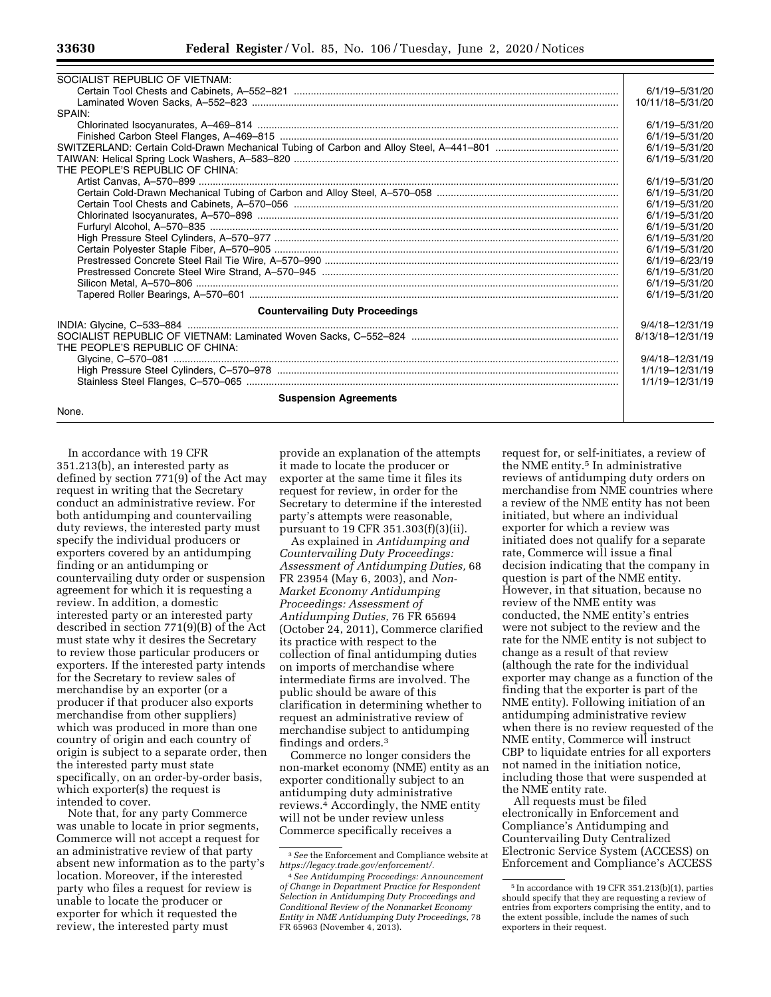| SOCIALIST REPUBLIC OF VIETNAM:         |                    |
|----------------------------------------|--------------------|
|                                        | $6/1/19 - 5/31/20$ |
|                                        | 10/11/18-5/31/20   |
| SPAIN:                                 |                    |
|                                        | 6/1/19-5/31/20     |
|                                        | 6/1/19-5/31/20     |
|                                        | 6/1/19-5/31/20     |
|                                        | 6/1/19-5/31/20     |
| THE PEOPLE'S REPUBLIC OF CHINA:        |                    |
|                                        | 6/1/19-5/31/20     |
|                                        | 6/1/19-5/31/20     |
|                                        | 6/1/19-5/31/20     |
|                                        | 6/1/19-5/31/20     |
|                                        | 6/1/19-5/31/20     |
|                                        | 6/1/19-5/31/20     |
|                                        | 6/1/19-5/31/20     |
|                                        | 6/1/19-6/23/19     |
|                                        | 6/1/19-5/31/20     |
|                                        | $6/1/19 - 5/31/20$ |
|                                        | 6/1/19-5/31/20     |
| <b>Countervailing Duty Proceedings</b> |                    |
|                                        | 9/4/18-12/31/19    |
|                                        | 8/13/18-12/31/19   |
| THE PEOPLE'S REPUBLIC OF CHINA:        |                    |
|                                        | 9/4/18-12/31/19    |
|                                        | 1/1/19-12/31/19    |
|                                        | 1/1/19-12/31/19    |
| <b>Suspension Agreements</b>           |                    |
| None.                                  |                    |
|                                        |                    |

In accordance with 19 CFR 351.213(b), an interested party as defined by section 771(9) of the Act may request in writing that the Secretary conduct an administrative review. For both antidumping and countervailing duty reviews, the interested party must specify the individual producers or exporters covered by an antidumping finding or an antidumping or countervailing duty order or suspension agreement for which it is requesting a review. In addition, a domestic interested party or an interested party described in section 771(9)(B) of the Act must state why it desires the Secretary to review those particular producers or exporters. If the interested party intends for the Secretary to review sales of merchandise by an exporter (or a producer if that producer also exports merchandise from other suppliers) which was produced in more than one country of origin and each country of origin is subject to a separate order, then the interested party must state specifically, on an order-by-order basis, which exporter(s) the request is intended to cover.

Note that, for any party Commerce was unable to locate in prior segments, Commerce will not accept a request for an administrative review of that party absent new information as to the party's location. Moreover, if the interested party who files a request for review is unable to locate the producer or exporter for which it requested the review, the interested party must

provide an explanation of the attempts it made to locate the producer or exporter at the same time it files its request for review, in order for the Secretary to determine if the interested party's attempts were reasonable, pursuant to 19 CFR 351.303(f)(3)(ii).

As explained in *Antidumping and Countervailing Duty Proceedings: Assessment of Antidumping Duties,* 68 FR 23954 (May 6, 2003), and *Non-Market Economy Antidumping Proceedings: Assessment of Antidumping Duties,* 76 FR 65694 (October 24, 2011), Commerce clarified its practice with respect to the collection of final antidumping duties on imports of merchandise where intermediate firms are involved. The public should be aware of this clarification in determining whether to request an administrative review of merchandise subject to antidumping findings and orders.3

Commerce no longer considers the non-market economy (NME) entity as an exporter conditionally subject to an antidumping duty administrative reviews.4 Accordingly, the NME entity will not be under review unless Commerce specifically receives a

request for, or self-initiates, a review of the NME entity.5 In administrative reviews of antidumping duty orders on merchandise from NME countries where a review of the NME entity has not been initiated, but where an individual exporter for which a review was initiated does not qualify for a separate rate, Commerce will issue a final decision indicating that the company in question is part of the NME entity. However, in that situation, because no review of the NME entity was conducted, the NME entity's entries were not subject to the review and the rate for the NME entity is not subject to change as a result of that review (although the rate for the individual exporter may change as a function of the finding that the exporter is part of the NME entity). Following initiation of an antidumping administrative review when there is no review requested of the NME entity, Commerce will instruct CBP to liquidate entries for all exporters not named in the initiation notice, including those that were suspended at the NME entity rate.

All requests must be filed electronically in Enforcement and Compliance's Antidumping and Countervailing Duty Centralized Electronic Service System (ACCESS) on Enforcement and Compliance's ACCESS

<sup>3</sup>*See* the Enforcement and Compliance website at *[https://legacy.trade.gov/enforcement/.](https://legacy.trade.gov/enforcement/)* 

<sup>4</sup>*See Antidumping Proceedings: Announcement of Change in Department Practice for Respondent Selection in Antidumping Duty Proceedings and Conditional Review of the Nonmarket Economy Entity in NME Antidumping Duty Proceedings,* 78 FR 65963 (November 4, 2013).

<sup>5</sup> In accordance with 19 CFR 351.213(b)(1), parties should specify that they are requesting a review of entries from exporters comprising the entity, and to the extent possible, include the names of such exporters in their request.